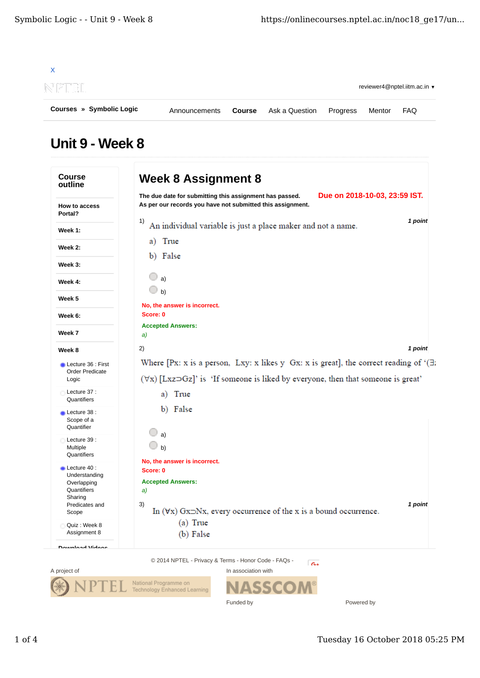| Courses » Symbolic Logic | Announcements | Course | Ask a Question | Progress | Mentor | <b>FAO</b>                   |
|--------------------------|---------------|--------|----------------|----------|--------|------------------------------|
| NPTEL                    |               |        |                |          |        | reviewer4@nptel.iitm.ac.in v |
|                          |               |        |                |          |        |                              |

## Unit 9 - Week 8

| <b>Course</b><br>outline                     | <b>Week 8 Assignment 8</b>                                                                                                                                                                                          |                               |
|----------------------------------------------|---------------------------------------------------------------------------------------------------------------------------------------------------------------------------------------------------------------------|-------------------------------|
| How to access<br>Portal?                     | The due date for submitting this assignment has passed.<br>As per our records you have not submitted this assignment.                                                                                               | Due on 2018-10-03, 23:59 IST. |
| Week 1:                                      | 1)<br>An individual variable is just a place maker and not a name.                                                                                                                                                  | 1 point                       |
| Week 2:                                      | a) True                                                                                                                                                                                                             |                               |
| Week 3:                                      | b) False                                                                                                                                                                                                            |                               |
| Week 4:                                      | a)                                                                                                                                                                                                                  |                               |
| Week 5                                       | b)                                                                                                                                                                                                                  |                               |
| Week 6:                                      | No, the answer is incorrect.<br>Score: 0                                                                                                                                                                            |                               |
| Week 7                                       | <b>Accepted Answers:</b><br>a)                                                                                                                                                                                      |                               |
| Week 8                                       | 2)                                                                                                                                                                                                                  | 1 point                       |
| Lecture 36 : First<br><b>Order Predicate</b> | Where [Px: x is a person, Lxy: x likes y Gx: x is great], the correct reading of $( \exists x \in \mathbb{R}^2)$<br>$(\forall x)$ [Lxz $\neg$ Gz]' is 'If someone is liked by everyone, then that someone is great' |                               |
| Logic<br>Lecture 37:                         | True<br>a)                                                                                                                                                                                                          |                               |
| Quantifiers                                  | b) False                                                                                                                                                                                                            |                               |
| Lecture 38 :<br>Scope of a<br>Quantifier     |                                                                                                                                                                                                                     |                               |
| Lecture 39 :<br>Multiple                     | a)<br>b)                                                                                                                                                                                                            |                               |
| Quantifiers<br>Lecture 40:                   | No, the answer is incorrect.                                                                                                                                                                                        |                               |
| Understanding                                | Score: 0                                                                                                                                                                                                            |                               |
| Overlapping<br>Quantifiers                   | <b>Accepted Answers:</b><br>a)                                                                                                                                                                                      |                               |
| Sharing<br>Predicates and                    | 3)                                                                                                                                                                                                                  | 1 point                       |
| Scope                                        | In $(\forall x)$ Gx $\exists$ Nx, every occurrence of the x is a bound occurrence.                                                                                                                                  |                               |
| Quiz: Week 8<br>Assignment 8                 | $(a)$ True<br>(b) False                                                                                                                                                                                             |                               |
| Download Vidaac                              |                                                                                                                                                                                                                     |                               |
|                                              | © 2014 NPTEL - Privacy & Terms - Honor Code - FAQs -<br>$-a$                                                                                                                                                        |                               |
| A project of                                 | In association with                                                                                                                                                                                                 |                               |

Funded by



Powered by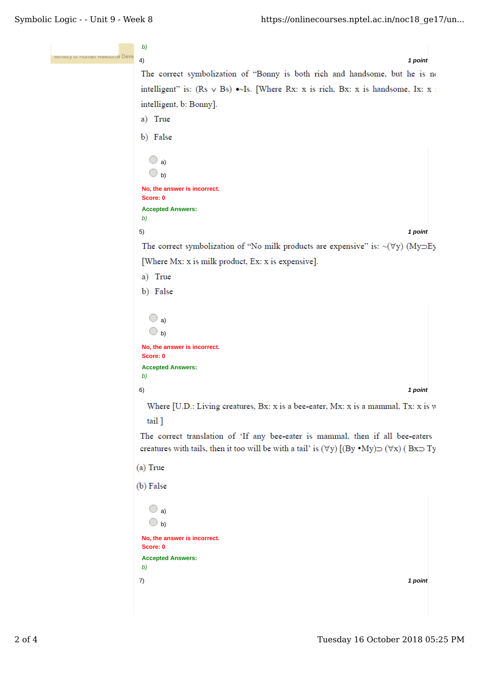```
b)
ce Deve
      4) 1 point
      The correct symbolization of "Bonny is both rich and handsome, but he is no
      intelligent" is: (Rs \vee Bs) \bullet\simIs. [Where Rx: x is rich, Bx: x is handsome, Ix: x i
      intelligent, b: Bonny].
      a) True
      b) False
        \bigcirc a)
        \bigcirc b)
      No, the answer is incorrect.
      Score: 0
      Accepted Answers:
      b)
      5) 1 point
      The correct symbolization of "No milk products are expensive" is: \sim(\forally) (My\supsetEy
      [Where Mx: x is milk product, Ex: x is expensive].
      a) True
      b) False
        \bigcirc a)
        \bigcirc b)
      No, the answer is incorrect.
      Score: 0
      Accepted Answers:
      b)
      6) 1 point
       Where [U.D.: Living creatures, Bx: x is a bee-eater, Mx: x is a mammal, Tx: x is w
       tail ]
     The correct translation of 'If any bee-eater is mammal, then if all bee-eaters
     creatures with tails, then it too will be with a tail' is (\forall y) [(By ^*My) \supset (\forall x) (Bx\supset Ty)
     (a) True
     (b) False
        \bigcirc a)
        \bigcirc b)
      No, the answer is incorrect.
      Score: 0
      Accepted Answers:
      b)
      7) 1 point
```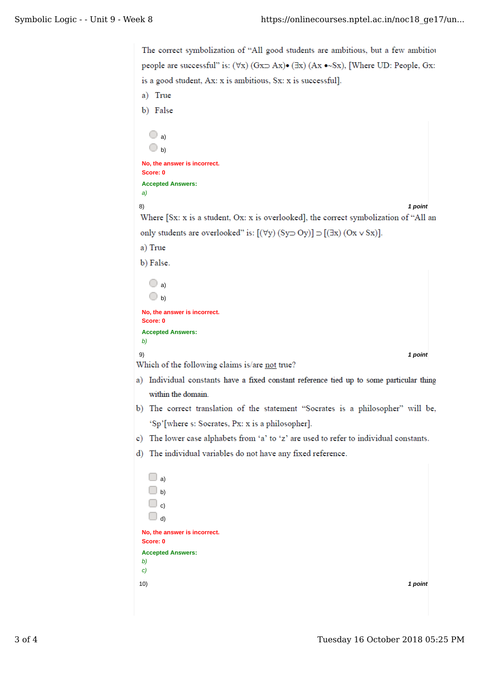```
The correct symbolization of "All good students are ambitious, but a few ambitiou
 people are successful" is: (\forall x) (Gx\Rightarrow Ax)\bullet (Ex) (Ax \bullet Sx), [Where UD: People, Gx:
 is a good student, Ax: x is ambitious, Sx: x is successful].
 a) True
 b) False
   \bigcirc a)
   \bigcirc b)
 No, the answer is incorrect.
 Score: 0
 Accepted Answers:
 a)
 8) 1 point
 Where [Sx: x is a student, Ox: x is overlooked], the correct symbolization of "All an
 only students are overlooked" is: [(\forall y) (Sy \supset Oy)] \supset [(\exists x) (Ox \vee Sx)].a) True
 b) False.
   \Box a)
   \bigcirc b)
 No, the answer is incorrect.
 Score: 0
 Accepted Answers:
 b)
 9) 1 point
Which of the following claims is/are not true?
a) Individual constants have a fixed constant reference tied up to some particular thing
   within the domain.
b) The correct translation of the statement "Socrates is a philosopher" will be,
   'Sp'[where s: Socrates, Px: x is a philosopher].
c) The lower case alphabets from 'a' to 'z' are used to refer to individual constants.
d) The individual variables do not have any fixed reference.
   \Box a)
   \Box b)
   \Box c)
   \Box d)
 No, the answer is incorrect.
 Score: 0
 Accepted Answers:
 b)
 c)
 10) 1 point
```